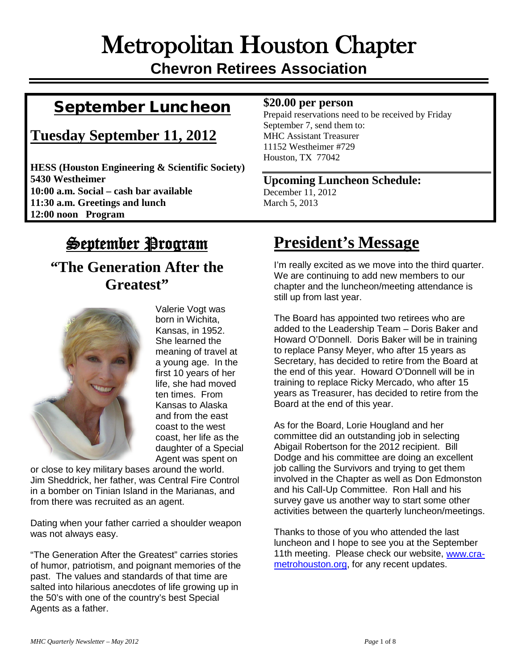# Metropolitan Houston Chapter **Chevron Retirees Association**

## September Luncheon

## **Tuesday September 11, 2012**

**HESS (Houston Engineering & Scientific Society) 5430 Westheimer 10:00 a.m. Social – cash bar available 11:30 a.m. Greetings and lunch 12:00 noon Program**

#### **\$20.00 per person**

Prepaid reservations need to be received by Friday September 7, send them to: MHC Assistant Treasurer 11152 Westheimer #729 Houston, TX 77042

#### **Upcoming Luncheon Schedule:** December 11, 2012

March 5, 2013

# **September Program**

## **"The Generation After the Greatest"**



Valerie Vogt was born in Wichita, Kansas, in 1952. She learned the meaning of travel at a young age. In the first 10 years of her life, she had moved ten times. From Kansas to Alaska and from the east coast to the west coast, her life as the daughter of a Special Agent was spent on

or close to key military bases around the world. Jim Sheddrick, her father, was Central Fire Control in a bomber on Tinian Island in the Marianas, and from there was recruited as an agent.

Dating when your father carried a shoulder weapon was not always easy.

"The Generation After the Greatest" carries stories of humor, patriotism, and poignant memories of the past. The values and standards of that time are salted into hilarious anecdotes of life growing up in the 50's with one of the country's best Special Agents as a father.

# **President's Message**

I'm really excited as we move into the third quarter. We are continuing to add new members to our chapter and the luncheon/meeting attendance is still up from last year.

The Board has appointed two retirees who are added to the Leadership Team – Doris Baker and Howard O'Donnell. Doris Baker will be in training to replace Pansy Meyer, who after 15 years as Secretary, has decided to retire from the Board at the end of this year. Howard O'Donnell will be in training to replace Ricky Mercado, who after 15 years as Treasurer, has decided to retire from the Board at the end of this year.

As for the Board, Lorie Hougland and her committee did an outstanding job in selecting Abigail Robertson for the 2012 recipient. Bill Dodge and his committee are doing an excellent job calling the Survivors and trying to get them involved in the Chapter as well as Don Edmonston and his Call-Up Committee. Ron Hall and his survey gave us another way to start some other activities between the quarterly luncheon/meetings.

Thanks to those of you who attended the last luncheon and I hope to see you at the September 11th meeting. Please check our website, [www.cra](http://www.cra-metrohouston.org/)[metrohouston.org,](http://www.cra-metrohouston.org/) for any recent updates.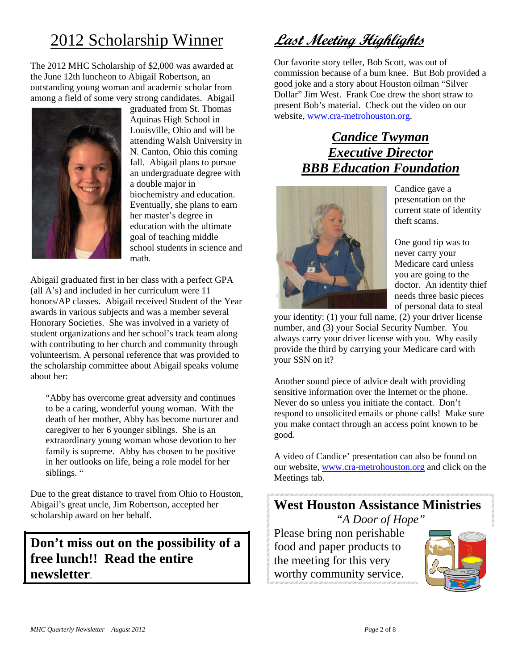# 2012 Scholarship Winner

The 2012 MHC Scholarship of \$2,000 was awarded at the June 12th luncheon to Abigail Robertson, an outstanding young woman and academic scholar from among a field of some very strong candidates. Abigail



graduated from St. Thomas Aquinas High School in Louisville, Ohio and will be attending Walsh University in N. Canton, Ohio this coming fall. Abigail plans to pursue an undergraduate degree with a double major in biochemistry and education. Eventually, she plans to earn her master's degree in education with the ultimate goal of teaching middle school students in science and math.

Abigail graduated first in her class with a perfect GPA (all A's) and included in her curriculum were 11 honors/AP classes. Abigail received Student of the Year awards in various subjects and was a member several Honorary Societies. She was involved in a variety of student organizations and her school's track team along with contributing to her church and community through volunteerism. A personal reference that was provided to the scholarship committee about Abigail speaks volume about her:

"Abby has overcome great adversity and continues to be a caring, wonderful young woman. With the death of her mother, Abby has become nurturer and caregiver to her 6 younger siblings. She is an extraordinary young woman whose devotion to her family is supreme. Abby has chosen to be positive in her outlooks on life, being a role model for her siblings. "

Due to the great distance to travel from Ohio to Houston, Abigail's great uncle, Jim Robertson, accepted her scholarship award on her behalf.

**Don't miss out on the possibility of a free lunch!! Read the entire newsletter**.

## **Last Meeting Highlights**

Our favorite story teller, Bob Scott, was out of commission because of a bum knee. But Bob provided a good joke and a story about Houston oilman "Silver Dollar" Jim West. Frank Coe drew the short straw to present Bob's material. Check out the video on our website, [www.cra-metrohouston.org.](http://www.cra-metrohouston.org/)

## *Candice Twyman Executive Director BBB Education Foundation*



Candice gave a presentation on the current state of identity theft scams.

One good tip was to never carry your Medicare card unless you are going to the doctor. An identity thief needs three basic pieces of personal data to steal

your identity: (1) your full name, (2) your driver license number, and (3) your Social Security Number. You always carry your driver license with you. Why easily provide the third by carrying your Medicare card with your SSN on it?

Another sound piece of advice dealt with providing sensitive information over the Internet or the phone. Never do so unless you initiate the contact. Don't respond to unsolicited emails or phone calls! Make sure you make contact through an access point known to be good.

A video of Candice' presentation can also be found on our website, [www.cra-metrohouston.org](http://www.cra-metrohouston.org/) and click on the Meetings tab.

### **West Houston Assistance Ministries** *"A Door of Hope"*

Please bring non perishable food and paper products to the meeting for this very worthy community service.

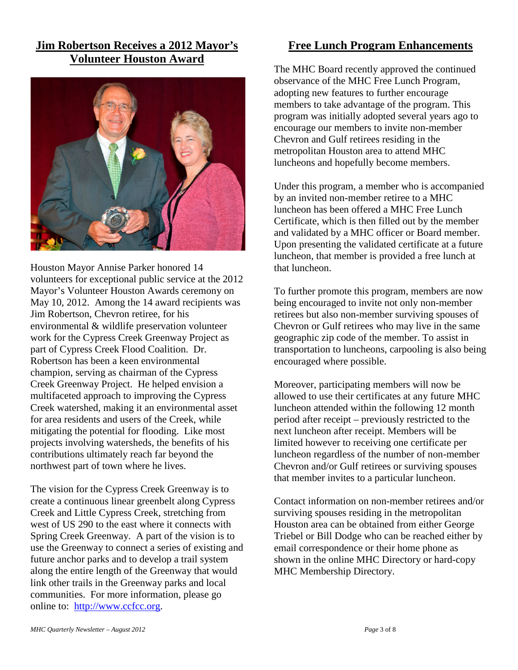#### **Jim Robertson Receives a 2012 Mayor's Volunteer Houston Award**



Houston Mayor Annise Parker honored 14 volunteers for exceptional public service at the 2012 Mayor's Volunteer Houston Awards ceremony on May 10, 2012. Among the 14 award recipients was Jim Robertson, Chevron retiree, for his environmental & wildlife preservation volunteer work for the Cypress Creek Greenway Project as part of Cypress Creek Flood Coalition. Dr. Robertson has been a keen environmental champion, serving as chairman of the Cypress Creek Greenway Project. He helped envision a multifaceted approach to improving the Cypress Creek watershed, making it an environmental asset for area residents and users of the Creek, while mitigating the potential for flooding. Like most projects involving watersheds, the benefits of his contributions ultimately reach far beyond the northwest part of town where he lives.

The vision for the Cypress Creek Greenway is to create a continuous linear greenbelt along Cypress Creek and Little Cypress Creek, stretching from west of US 290 to the east where it connects with Spring Creek Greenway. A part of the vision is to use the Greenway to connect a series of existing and future anchor parks and to develop a trail system along the entire length of the Greenway that would link other trails in the Greenway parks and local communities. For more information, please go online to: [http://www.ccfcc.org.](http://www.ccfcc.org/)

#### **Free Lunch Program Enhancements**

The MHC Board recently approved the continued observance of the MHC Free Lunch Program, adopting new features to further encourage members to take advantage of the program. This program was initially adopted several years ago to encourage our members to invite non-member Chevron and Gulf retirees residing in the metropolitan Houston area to attend MHC luncheons and hopefully become members.

Under this program, a member who is accompanied by an invited non-member retiree to a MHC luncheon has been offered a MHC Free Lunch Certificate, which is then filled out by the member and validated by a MHC officer or Board member. Upon presenting the validated certificate at a future luncheon, that member is provided a free lunch at that luncheon.

To further promote this program, members are now being encouraged to invite not only non-member retirees but also non-member surviving spouses of Chevron or Gulf retirees who may live in the same geographic zip code of the member. To assist in transportation to luncheons, carpooling is also being encouraged where possible.

Moreover, participating members will now be allowed to use their certificates at any future MHC luncheon attended within the following 12 month period after receipt – previously restricted to the next luncheon after receipt. Members will be limited however to receiving one certificate per luncheon regardless of the number of non-member Chevron and/or Gulf retirees or surviving spouses that member invites to a particular luncheon.

Contact information on non-member retirees and/or surviving spouses residing in the metropolitan Houston area can be obtained from either George Triebel or Bill Dodge who can be reached either by email correspondence or their home phone as shown in the online MHC Directory or hard-copy MHC Membership Directory.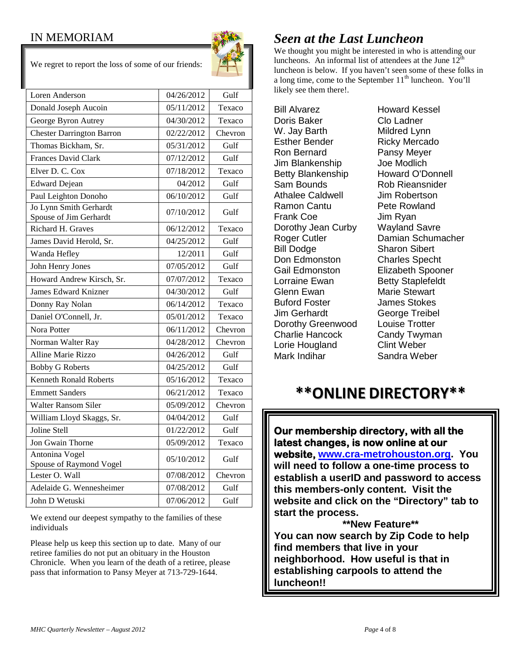#### IN MEMORIAM



We regret to report the loss of some of our friends:

| Loren Anderson                                   | 04/26/2012 | Gulf    |
|--------------------------------------------------|------------|---------|
| Donald Joseph Aucoin                             | 05/11/2012 | Texaco  |
| George Byron Autrey                              | 04/30/2012 | Texaco  |
| <b>Chester Darrington Barron</b>                 | 02/22/2012 | Chevron |
| Thomas Bickham, Sr.                              | 05/31/2012 | Gulf    |
| <b>Frances David Clark</b>                       | 07/12/2012 | Gulf    |
| Elver D. C. Cox                                  | 07/18/2012 | Texaco  |
| <b>Edward Dejean</b>                             | 04/2012    | Gulf    |
| Paul Leighton Donoho                             | 06/10/2012 | Gulf    |
| Jo Lynn Smith Gerhardt<br>Spouse of Jim Gerhardt | 07/10/2012 | Gulf    |
| Richard H. Graves                                | 06/12/2012 | Texaco  |
| James David Herold, Sr.                          | 04/25/2012 | Gulf    |
| Wanda Hefley                                     | 12/2011    | Gulf    |
| John Henry Jones                                 | 07/05/2012 | Gulf    |
| Howard Andrew Kirsch, Sr.                        | 07/07/2012 | Texaco  |
| <b>James Edward Knizner</b>                      | 04/30/2012 | Gulf    |
| Donny Ray Nolan                                  | 06/14/2012 | Texaco  |
| Daniel O'Connell, Jr.                            | 05/01/2012 | Texaco  |
| Nora Potter                                      | 06/11/2012 | Chevron |
| Norman Walter Ray                                | 04/28/2012 | Chevron |
| Alline Marie Rizzo                               | 04/26/2012 | Gulf    |
| <b>Bobby G Roberts</b>                           | 04/25/2012 | Gulf    |
| <b>Kenneth Ronald Roberts</b>                    | 05/16/2012 | Texaco  |
| <b>Emmett Sanders</b>                            | 06/21/2012 | Texaco  |
| <b>Walter Ransom Siler</b>                       | 05/09/2012 | Chevron |
| William Lloyd Skaggs, Sr.                        | 04/04/2012 | Gulf    |
| Joline Stell                                     | 01/22/2012 | Gulf    |
| Jon Gwain Thorne                                 | 05/09/2012 | Texaco  |
| Antonina Vogel<br>Spouse of Raymond Vogel        | 05/10/2012 | Gulf    |
| Lester O. Wall                                   | 07/08/2012 | Chevron |
| Adelaide G. Wennesheimer                         | 07/08/2012 | Gulf    |
| John D Wetuski                                   | 07/06/2012 | Gulf    |

We extend our deepest sympathy to the families of these individuals

Please help us keep this section up to date. Many of our retiree families do not put an obituary in the Houston Chronicle. When you learn of the death of a retiree, please pass that information to Pansy Meyer at 713-729-1644.

## *Seen at the Last Luncheon*

We thought you might be interested in who is attending our luncheons. An informal list of attendees at the June  $12<sup>th</sup>$ luncheon is below. If you haven't seen some of these folks in a long time, come to the September  $11<sup>th</sup>$  luncheon. You'll likely see them there!.

Bill Alvarez Howard Kessel Doris Baker Clo Ladner W. Jay Barth Mildred Lynn Esther Bender Ricky Mercado Ron Bernard **Pansy Meyer**<br>Jim Blankenship Joe Modlich Jim Blankenship Joe Modlich Betty Blankenship Sam Bounds Rob Rieansnider Athalee Caldwell **Jim Robertson** Ramon Cantu Pete Rowland Frank Coe Jim Ryan Dorothy Jean Curby Wayland Savre Bill Dodge Sharon Sibert<br>Don Edmonston Charles Spech Gail Edmonston Elizabeth Spooner Lorraine Ewan **Betty Staplefeldt** Glenn Ewan Marie Stewart Buford Foster James Stokes Jim Gerhardt George Treibel Dorothy Greenwood Louise Trotter Charlie Hancock Candy Twyman Lorie Hougland Clint Weber Mark Indihar Sandra Weber

Roger Cutler **Damian Schumacher**<br>
Bill Dodge **Damian Scharon Sibert Charles Specht** 

## **\*\*ONLINE DIRECTORY\*\***

**Our membership directory, with all the latest changes, is now online at our website, [www.cra-metrohouston.org.](http://www.cra-metrohouston.org/) You will need to follow a one-time process to establish a userID and password to access this members-only content. Visit the website and click on the "Directory" tab to start the process.** 

**\*\*New Feature\*\* You can now search by Zip Code to help find members that live in your neighborhood. How useful is that in establishing carpools to attend the luncheon!!**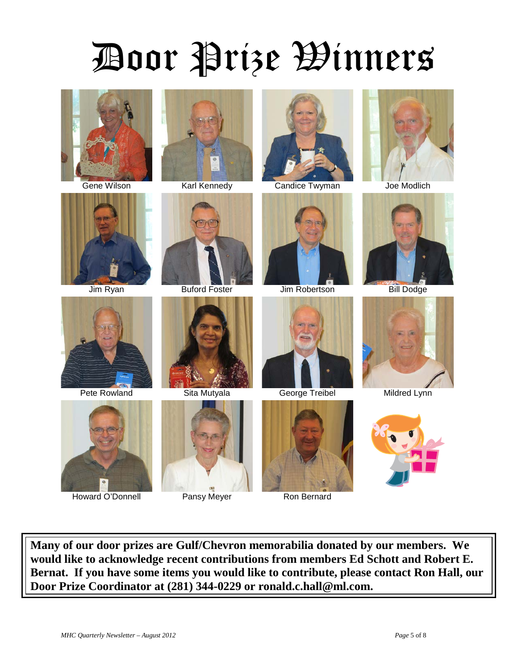# Door Prize Winners



















Howard O'Donnell **Pansy Meyer** Ron Bernard













**Many of our door prizes are Gulf/Chevron memorabilia donated by our members. We would like to acknowledge recent contributions from members Ed Schott and Robert E. Bernat. If you have some items you would like to contribute, please contact Ron Hall, our Door Prize Coordinator at (281) 344-0229 or ronald.c.hall@ml.com.**